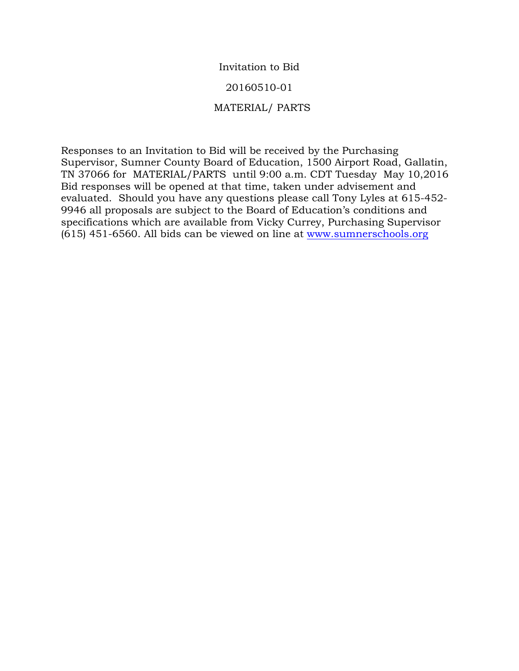# Invitation to Bid

### 20160510-01

## MATERIAL/ PARTS

Responses to an Invitation to Bid will be received by the Purchasing Supervisor, Sumner County Board of Education, 1500 Airport Road, Gallatin, TN 37066 for MATERIAL/PARTS until 9:00 a.m. CDT Tuesday May 10,2016 Bid responses will be opened at that time, taken under advisement and evaluated. Should you have any questions please call Tony Lyles at 615-452- 9946 all proposals are subject to the Board of Education's conditions and specifications which are available from Vicky Currey, Purchasing Supervisor (615) 451-6560. All bids can be viewed on line at www.sumnerschools.org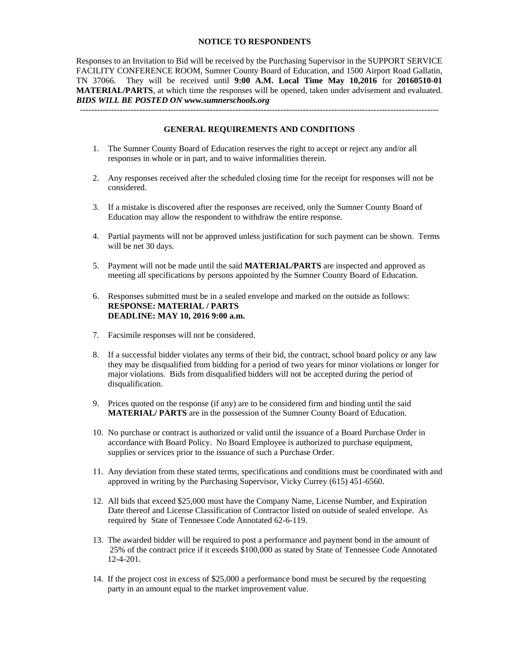#### **NOTICE TO RESPONDENTS**

Responses to an Invitation to Bid will be received by the Purchasing Supervisor in the SUPPORT SERVICE FACILITY CONFERENCE ROOM, Sumner County Board of Education, and 1500 Airport Road Gallatin, TN 37066. They will be received until **9:00 A.M. Local Time May 10,2016** for **20160510-01 MATERIAL/PARTS**, at which time the responses will be opened, taken under advisement and evaluated. *BIDS WILL BE POSTED ON www.sumnerschools.org* 

#### **GENERAL REQUIREMENTS AND CONDITIONS**

-------------------------------------------------------------------------------------------------------------------------------

- 1. The Sumner County Board of Education reserves the right to accept or reject any and/or all responses in whole or in part, and to waive informalities therein.
- 2. Any responses received after the scheduled closing time for the receipt for responses will not be considered.
- 3. If a mistake is discovered after the responses are received, only the Sumner County Board of Education may allow the respondent to withdraw the entire response.
- 4. Partial payments will not be approved unless justification for such payment can be shown. Terms will be net 30 days.
- 5. Payment will not be made until the said **MATERIAL/PARTS** are inspected and approved as meeting all specifications by persons appointed by the Sumner County Board of Education.
- 6. Responses submitted must be in a sealed envelope and marked on the outside as follows: **RESPONSE: MATERIAL / PARTS DEADLINE: MAY 10, 2016 9:00 a.m.**
- 7. Facsimile responses will not be considered.
- 8. If a successful bidder violates any terms of their bid, the contract, school board policy or any law they may be disqualified from bidding for a period of two years for minor violations or longer for major violations. Bids from disqualified bidders will not be accepted during the period of disqualification.
- 9. Prices quoted on the response (if any) are to be considered firm and binding until the said **MATERIAL/ PARTS** are in the possession of the Sumner County Board of Education.
- 10. No purchase or contract is authorized or valid until the issuance of a Board Purchase Order in accordance with Board Policy. No Board Employee is authorized to purchase equipment, supplies or services prior to the issuance of such a Purchase Order.
- 11. Any deviation from these stated terms, specifications and conditions must be coordinated with and approved in writing by the Purchasing Supervisor, Vicky Currey (615) 451-6560.
- 12. All bids that exceed \$25,000 must have the Company Name, License Number, and Expiration Date thereof and License Classification of Contractor listed on outside of sealed envelope. As required by State of Tennessee Code Annotated 62-6-119.
- 13. The awarded bidder will be required to post a performance and payment bond in the amount of 25% of the contract price if it exceeds \$100,000 as stated by State of Tennessee Code Annotated 12-4-201.
- 14. If the project cost in excess of \$25,000 a performance bond must be secured by the requesting party in an amount equal to the market improvement value.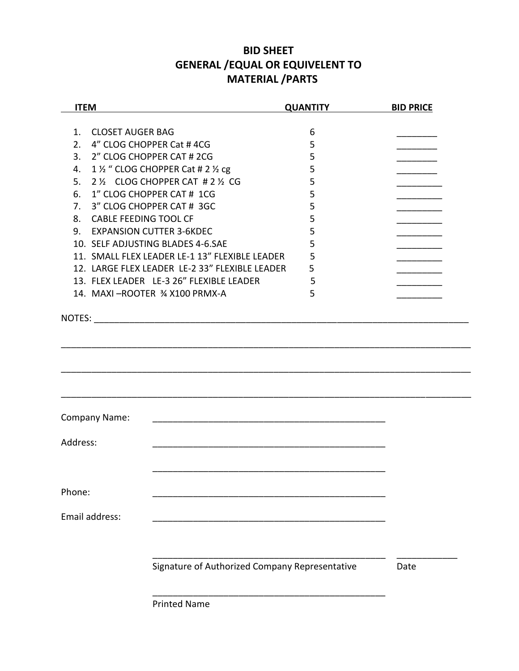# **BID SHEET GENERAL /EQUAL OR EQUIVELENT TO MATERIAL /PARTS**

| <b>ITEM</b>                                    | <b>QUANTITY</b> | <b>BID PRICE</b> |
|------------------------------------------------|-----------------|------------------|
|                                                |                 |                  |
| <b>CLOSET AUGER BAG</b><br>1.                  | 6               |                  |
| 4" CLOG CHOPPER Cat #4CG<br>2.                 | 5               |                  |
| 2" CLOG CHOPPER CAT # 2CG<br>3.                | 5               |                  |
| 1 1/2 " CLOG CHOPPER Cat # 2 1/2 cg<br>4.      | 5               |                  |
| 2 1/2 CLOG CHOPPER CAT # 2 1/2 CG<br>5.        | 5               |                  |
| 1" CLOG CHOPPER CAT # 1CG<br>6.                | 5               |                  |
| 3" CLOG CHOPPER CAT # 3GC<br>7.                | 5               |                  |
| 8. CABLE FEEDING TOOL CF                       | 5               |                  |
| <b>EXPANSION CUTTER 3-6KDEC</b><br>9.          | 5               |                  |
| 10. SELF ADJUSTING BLADES 4-6.SAE              | 5               |                  |
| 11. SMALL FLEX LEADER LE-1 13" FLEXIBLE LEADER | 5               |                  |
| 12. LARGE FLEX LEADER LE-2 33" FLEXIBLE LEADER | 5               |                  |
| 13. FLEX LEADER LE-3 26" FLEXIBLE LEADER       | 5               |                  |
| 14. MAXI-ROOTER 3/4 X100 PRMX-A                | 5               |                  |
|                                                |                 |                  |
|                                                |                 |                  |
|                                                |                 |                  |
|                                                |                 |                  |
|                                                |                 |                  |
|                                                |                 |                  |
|                                                |                 |                  |
|                                                |                 |                  |
| Company Name:                                  |                 |                  |
|                                                |                 |                  |
| Address:                                       |                 |                  |
|                                                |                 |                  |
|                                                |                 |                  |
|                                                |                 |                  |
| Phone:                                         |                 |                  |
|                                                |                 |                  |
| Email address:                                 |                 |                  |
|                                                |                 |                  |
|                                                |                 |                  |
|                                                |                 |                  |
| Signature of Authorized Company Representative |                 | Date             |
|                                                |                 |                  |
|                                                |                 |                  |
| Diriched                                       |                 |                  |

Printed Name